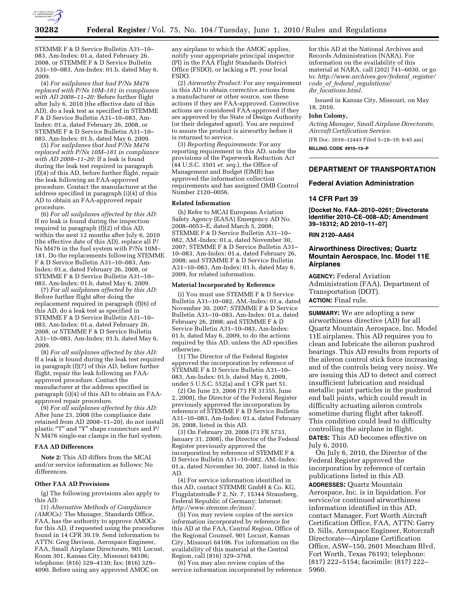

STEMME F & D Service Bulletin A31–10– 083, Am-Index: 01.a, dated February 26, 2008, or STEMME F & D Service Bulletin A31–10–083, Am-Index: 01.b, dated May 6, 2009.

(4) *For sailplanes that had P/Ns M476 replaced with P/Ns 10M–181 in compliance with AD 2008–11–20:* Before further flight after July 6, 2010 (the effective date of this AD), do a leak test as specified in STEMME F & D Service Bulletin A31–10–083, Am-Index: 01.a, dated February 26, 2008, or STEMME F & D Service Bulletin A31–10– 083, Am-Index: 01.b, dated May 6, 2009.

(5) *For sailplanes that had P/Ns M476 replaced with P/Ns 10M–181 in compliance with AD 2008–11–20:* If a leak is found during the leak test required in paragraph (f)(4) of this AD, before further flight, repair the leak following an FAA-approved procedure. Contact the manufacturer at the address specified in paragraph (i)(4) of this AD to obtain an FAA-approved repair procedure.

(6) *For all sailplanes affected by this AD:*  If no leak is found during the inspection required in paragraph (f)(2) of this AD, within the next 12 months after July 6, 2010 (the effective date of this AD), replace all P/ Ns M476 in the fuel system with P/Ns 10M– 181. Do the replacements following STEMME F & D Service Bulletin A31–10–083, Am-Index: 01.a, dated February 26, 2008, or STEMME F & D Service Bulletin A31–10– 083, Am-Index: 01.b, dated May 6, 2009.

(7) *For all sailplanes affected by this AD:*  Before further flight after doing the replacement required in paragraph (f)(6) of this AD, do a leak test as specified in STEMME F & D Service Bulletin A31–10– 083, Am-Index: 01.a, dated February 26, 2008, or STEMME F & D Service Bulletin A31–10–083, Am-Index: 01.b, dated May 6, 2009.

(8) *For all sailplanes affected by this AD:*  If a leak is found during the leak test required in paragraph (f)(7) of this AD, before further flight, repair the leak following an FAAapproved procedure. Contact the manufacturer at the address specified in paragraph (i)(4) of this AD to obtain an FAAapproved repair procedure.

(9) *For all sailplanes affected by this AD:*  After June 23, 2008 (the compliance date retained from AD 2008–11–20), do not install plastic "T" and "Y" shape connectors and  $\mathbf{P}/$ N M476 single-ear clamps in the fuel system.

#### **FAA AD Differences**

**Note 2:** This AD differs from the MCAI and/or service information as follows: No differences.

### **Other FAA AD Provisions**

(g) The following provisions also apply to this AD:

(1) *Alternative Methods of Compliance (AMOCs):* The Manager, Standards Office, FAA, has the authority to approve AMOCs for this AD, if requested using the procedures found in 14 CFR 39.19. Send information to ATTN: Greg Davison, Aerospace Engineer, FAA, Small Airplane Directorate, 901 Locust, Room 301, Kansas City, Missouri 64106; telephone: (816) 329–4130; fax: (816) 329– 4090. Before using any approved AMOC on

any airplane to which the AMOC applies, notify your appropriate principal inspector (PI) in the FAA Flight Standards District Office (FSDO), or lacking a PI, your local FSDO.

(2) *Airworthy Product:* For any requirement in this AD to obtain corrective actions from a manufacturer or other source, use these actions if they are FAA-approved. Corrective actions are considered FAA-approved if they are approved by the State of Design Authority (or their delegated agent). You are required to assure the product is airworthy before it is returned to service.

(3) *Reporting Requirements:* For any reporting requirement in this AD, under the provisions of the Paperwork Reduction Act (44 U.S.C. 3501 *et. seq.*), the Office of Management and Budget (OMB) has approved the information collection requirements and has assigned OMB Control Number 2120–0056.

### **Related Information**

(h) Refer to MCAI European Aviation Safety Agency (EASA) Emergency AD No. 2008–0053–E, dated March 5, 2008; STEMME F & D Service Bulletin A31–10– 082, AM.-Index: 01.a, dated November 30, 2007; STEMME F & D Service Bulletin A31– 10–083, Am-Index: 01.a, dated February 26, 2008; and STEMME F & D Service Bulletin A31–10–083, Am-Index: 01.b, dated May 6, 2009, for related information.

#### **Material Incorporated by Reference**

(i) You must use STEMME F & D Service Bulletin A31–10–082, AM.-Index: 01.a, dated November 30, 2007; STEMME F & D Service Bulletin A31–10–083, Am-Index: 01.a, dated February 26, 2008; and STEMME F & D Service Bulletin A31–10–083, Am-Index: 01.b, dated May 6, 2009, to do the actions required by this AD, unless the AD specifies otherwise.

(1) The Director of the Federal Register approved the incorporation by reference of STEMME F & D Service Bulletin A31–10– 083, Am-Index: 01.b, dated May 6, 2009, under 5 U.S.C. 552(a) and 1 CFR part 51.

(2) On June 23, 2008 (73 FR 31355, June 2, 2008), the Director of the Federal Register previously approved the incorporation by reference of STEMME F & D Service Bulletin A31–10–083, Am-Index: 01.a, dated February 26, 2008, listed in this AD.

(3) On February 20, 2008 (73 FR 5733, January 31, 2008), the Director of the Federal Register previously approved the incorporation by reference of STEMME F & D Service Bulletin A31–10–082, AM.-Index: 01.a, dated November 30, 2007, listed in this AD.

(4) For service information identified in this AD, contact STEMME GmbH & Co. KG, Flugplatzstraße F 2, Nr. 7, 15344 Strausberg, Federal Republic of Germany; Internet: *http://www.stemme.de/man/.* 

(5) You may review copies of the service information incorporated by reference for this AD at the FAA, Central Region, Office of the Regional Counsel, 901 Locust, Kansas City, Missouri 64106. For information on the availability of this material at the Central Region, call (816) 329–3768.

(6) You may also review copies of the service information incorporated by reference

for this AD at the National Archives and Records Administration (NARA). For information on the availability of this material at NARA, call (202) 741–6030, or go to: *http://www.archives.gov/federal*\_*register/ code*\_*of*\_*federal*\_*regulations/ ibr*\_*locations.html.* 

Issued in Kansas City, Missouri, on May 18, 2010.

#### **John Colomy,**

*Acting Manager, Small Airplane Directorate, Aircraft Certification Service.* 

[FR Doc. 2010–12443 Filed 5–28–10; 8:45 am] **BILLING CODE 4910–13–P** 

# **DEPARTMENT OF TRANSPORTATION**

### **Federal Aviation Administration**

# **14 CFR Part 39**

**[Docket No. FAA–2010–0261; Directorate Identifier 2010–CE–008–AD; Amendment 39–16312; AD 2010–11–07]** 

### **RIN 2120–AA64**

# **Airworthiness Directives; Quartz Mountain Aerospace, Inc. Model 11E Airplanes**

**AGENCY:** Federal Aviation Administration (FAA), Department of Transportation (DOT). **ACTION:** Final rule.

**SUMMARY:** We are adopting a new airworthiness directive (AD) for all Quartz Mountain Aerospace, Inc. Model 11E airplanes. This AD requires you to clean and lubricate the aileron pushrod bearings. This AD results from reports of the aileron control stick force increasing and of the controls being very noisy. We are issuing this AD to detect and correct insufficient lubrication and residual metallic paint particles in the pushrod end ball joints, which could result in difficulty actuating aileron controls sometime during flight after takeoff. This condition could lead to difficulty controlling the airplane in flight.

**DATES:** This AD becomes effective on July 6, 2010.

On July 6, 2010, the Director of the Federal Register approved the incorporation by reference of certain publications listed in this AD. **ADDRESSES:** Quartz Mountain Aerospace, Inc. is in liquidation. For service/or continued airworthiness information identified in this AD, contact Manager, Fort Worth Aircraft Certification Office, FAA, ATTN: Garry D. Sills, Aerospace Engineer, Rotorcraft Directorate—Airplane Certification Office, ASW–150, 2601 Meacham Blvd, Fort Worth, Texas 76193; telephone: (817) 222–5154; facsimile: (817) 222– 5960.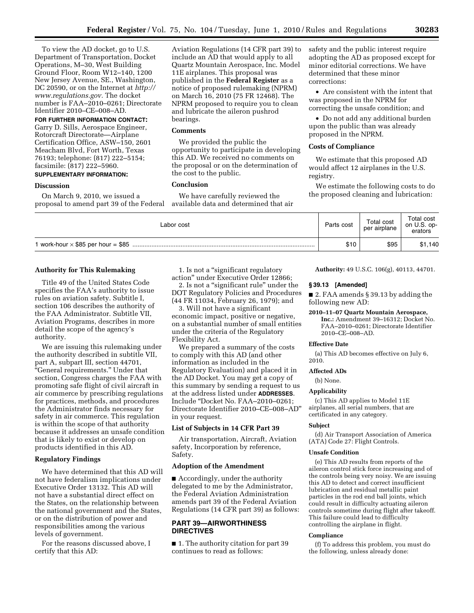To view the AD docket, go to U.S. Department of Transportation, Docket Operations, M–30, West Building Ground Floor, Room W12–140, 1200 New Jersey Avenue, SE., Washington, DC 20590, or on the Internet at *http:// www.regulations.gov.* The docket number is FAA–2010–0261; Directorate Identifier 2010–CE–008–AD.

**FOR FURTHER INFORMATION CONTACT:**  Garry D. Sills, Aerospace Engineer, Rotorcraft Directorate—Airplane Certification Office, ASW–150, 2601 Meacham Blvd, Fort Worth, Texas 76193; telephone: (817) 222–5154; facsimile: (817) 222–5960.

# **SUPPLEMENTARY INFORMATION:**

# **Discussion**

On March 9, 2010, we issued a proposal to amend part 39 of the Federal Aviation Regulations (14 CFR part 39) to include an AD that would apply to all Quartz Mountain Aerospace, Inc. Model 11E airplanes. This proposal was published in the **Federal Register** as a notice of proposed rulemaking (NPRM) on March 16, 2010 (75 FR 12468). The NPRM proposed to require you to clean and lubricate the aileron pushrod bearings.

# **Comments**

We provided the public the opportunity to participate in developing this AD. We received no comments on the proposal or on the determination of the cost to the public.

### **Conclusion**

We have carefully reviewed the available data and determined that air safety and the public interest require adopting the AD as proposed except for minor editorial corrections. We have determined that these minor corrections:

• Are consistent with the intent that was proposed in the NPRM for correcting the unsafe condition; and

• Do not add any additional burden upon the public than was already proposed in the NPRM.

#### **Costs of Compliance**

We estimate that this proposed AD would affect 12 airplanes in the U.S. registry.

We estimate the following costs to do the proposed cleaning and lubrication:

| Labor cost | Parts cost | Total cost<br>per airplane | Total cost<br>on U.S. op-<br>erators |
|------------|------------|----------------------------|--------------------------------------|
|            | \$10       | \$95                       | \$1,140                              |

### **Authority for This Rulemaking**

Title 49 of the United States Code specifies the FAA's authority to issue rules on aviation safety. Subtitle I, section 106 describes the authority of the FAA Administrator. Subtitle VII, Aviation Programs, describes in more detail the scope of the agency's authority.

We are issuing this rulemaking under the authority described in subtitle VII, part A, subpart III, section 44701, "General requirements." Under that section, Congress charges the FAA with promoting safe flight of civil aircraft in air commerce by prescribing regulations for practices, methods, and procedures the Administrator finds necessary for safety in air commerce. This regulation is within the scope of that authority because it addresses an unsafe condition that is likely to exist or develop on products identified in this AD.

# **Regulatory Findings**

We have determined that this AD will not have federalism implications under Executive Order 13132. This AD will not have a substantial direct effect on the States, on the relationship between the national government and the States, or on the distribution of power and responsibilities among the various levels of government.

For the reasons discussed above, I certify that this AD:

1. Is not a ''significant regulatory action'' under Executive Order 12866;

2. Is not a ''significant rule'' under the DOT Regulatory Policies and Procedures (44 FR 11034, February 26, 1979); and

3. Will not have a significant economic impact, positive or negative, on a substantial number of small entities under the criteria of the Regulatory Flexibility Act.

We prepared a summary of the costs to comply with this AD (and other information as included in the Regulatory Evaluation) and placed it in the AD Docket. You may get a copy of this summary by sending a request to us at the address listed under **ADDRESSES**. Include ''Docket No. FAA–2010–0261; Directorate Identifier 2010–CE–008–AD'' in your request.

# **List of Subjects in 14 CFR Part 39**

Air transportation, Aircraft, Aviation safety, Incorporation by reference, Safety.

# **Adoption of the Amendment**

■ Accordingly, under the authority delegated to me by the Administrator, the Federal Aviation Administration amends part 39 of the Federal Aviation Regulations (14 CFR part 39) as follows:

# **PART 39—AIRWORTHINESS DIRECTIVES**

■ 1. The authority citation for part 39 continues to read as follows:

**Authority:** 49 U.S.C. 106(g), 40113, 44701.

# **§ 39.13 [Amended]**

■ 2. FAA amends § 39.13 by adding the following new AD:

#### **2010–11–07 Quartz Mountain Aerospace,**

**Inc.:** Amendment 39–16312; Docket No. FAA–2010–0261; Directorate Identifier 2010–CE–008–AD.

#### **Effective Date**

(a) This AD becomes effective on July 6, 2010.

### **Affected ADs**

(b) None.

# **Applicability**

(c) This AD applies to Model 11E airplanes, all serial numbers, that are certificated in any category.

#### **Subject**

(d) Air Transport Association of America (ATA) Code 27: Flight Controls.

#### **Unsafe Condition**

(e) This AD results from reports of the aileron control stick force increasing and of the controls being very noisy. We are issuing this AD to detect and correct insufficient lubrication and residual metallic paint particles in the rod end ball joints, which could result in difficulty actuating aileron controls sometime during flight after takeoff. This failure could lead to difficulty controlling the airplane in flight.

# **Compliance**

(f) To address this problem, you must do the following, unless already done: